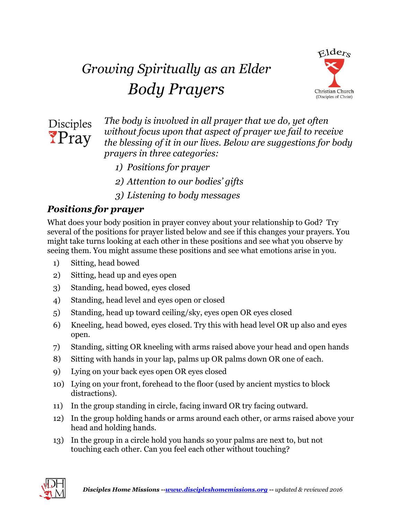## *Growing Spiritually as an Elder Body Prayers*





*The body is involved in all prayer that we do, yet often without focus upon that aspect of prayer we fail to receive the blessing of it in our lives. Below are suggestions for body prayers in three categories:*

- *1) Positions for prayer*
- *2) Attention to our bodies' gifts*
- *3) Listening to body messages*

## *Positions for prayer*

What does your body position in prayer convey about your relationship to God? Try several of the positions for prayer listed below and see if this changes your prayers. You might take turns looking at each other in these positions and see what you observe by seeing them. You might assume these positions and see what emotions arise in you.

- 1) Sitting, head bowed
- 2) Sitting, head up and eyes open
- 3) Standing, head bowed, eyes closed
- 4) Standing, head level and eyes open or closed
- 5) Standing, head up toward ceiling/sky, eyes open OR eyes closed
- 6) Kneeling, head bowed, eyes closed. Try this with head level OR up also and eyes open.
- 7) Standing, sitting OR kneeling with arms raised above your head and open hands
- 8) Sitting with hands in your lap, palms up OR palms down OR one of each.
- 9) Lying on your back eyes open OR eyes closed
- 10) Lying on your front, forehead to the floor (used by ancient mystics to block distractions).
- 11) In the group standing in circle, facing inward OR try facing outward.
- 12) In the group holding hands or arms around each other, or arms raised above your head and holding hands.
- 13) In the group in a circle hold you hands so your palms are next to, but not touching each other. Can you feel each other without touching?